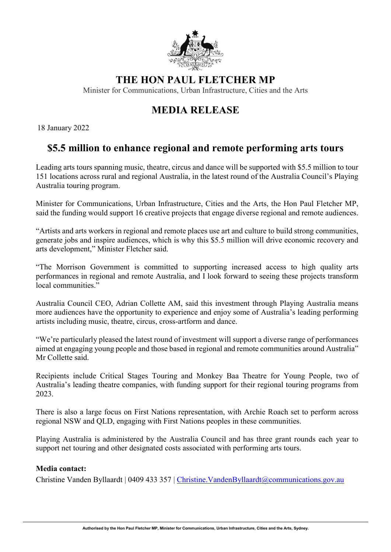

## **THE HON PAUL FLETCHER MP**

Minister for Communications, Urban Infrastructure, Cities and the Arts

# **MEDIA RELEASE**

18 January 2022

### **\$5.5 million to enhance regional and remote performing arts tours**

Leading arts tours spanning music, theatre, circus and dance will be supported with \$5.5 million to tour 151 locations across rural and regional Australia, in the latest round of the Australia Council's Playing Australia touring program.

Minister for Communications, Urban Infrastructure, Cities and the Arts, the Hon Paul Fletcher MP, said the funding would support 16 creative projects that engage diverse regional and remote audiences.

"Artists and arts workers in regional and remote places use art and culture to build strong communities, generate jobs and inspire audiences, which is why this \$5.5 million will drive economic recovery and arts development," Minister Fletcher said.

"The Morrison Government is committed to supporting increased access to high quality arts performances in regional and remote Australia, and I look forward to seeing these projects transform local communities."

Australia Council CEO, Adrian Collette AM, said this investment through Playing Australia means more audiences have the opportunity to experience and enjoy some of Australia's leading performing artists including music, theatre, circus, cross-artform and dance.

"We're particularly pleased the latest round of investment will support a diverse range of performances aimed at engaging young people and those based in regional and remote communities around Australia" Mr Collette said.

Recipients include Critical Stages Touring and Monkey Baa Theatre for Young People, two of Australia's leading theatre companies, with funding support for their regional touring programs from 2023.

There is also a large focus on First Nations representation, with Archie Roach set to perform across regional NSW and QLD, engaging with First Nations peoples in these communities.

Playing Australia is administered by the Australia Council and has three grant rounds each year to support net touring and other designated costs associated with performing arts tours.

#### **Media contact:**

Christine Vanden Byllaardt | 0409 433 357 | Christine. Vanden Byllaardt@communications.gov.au